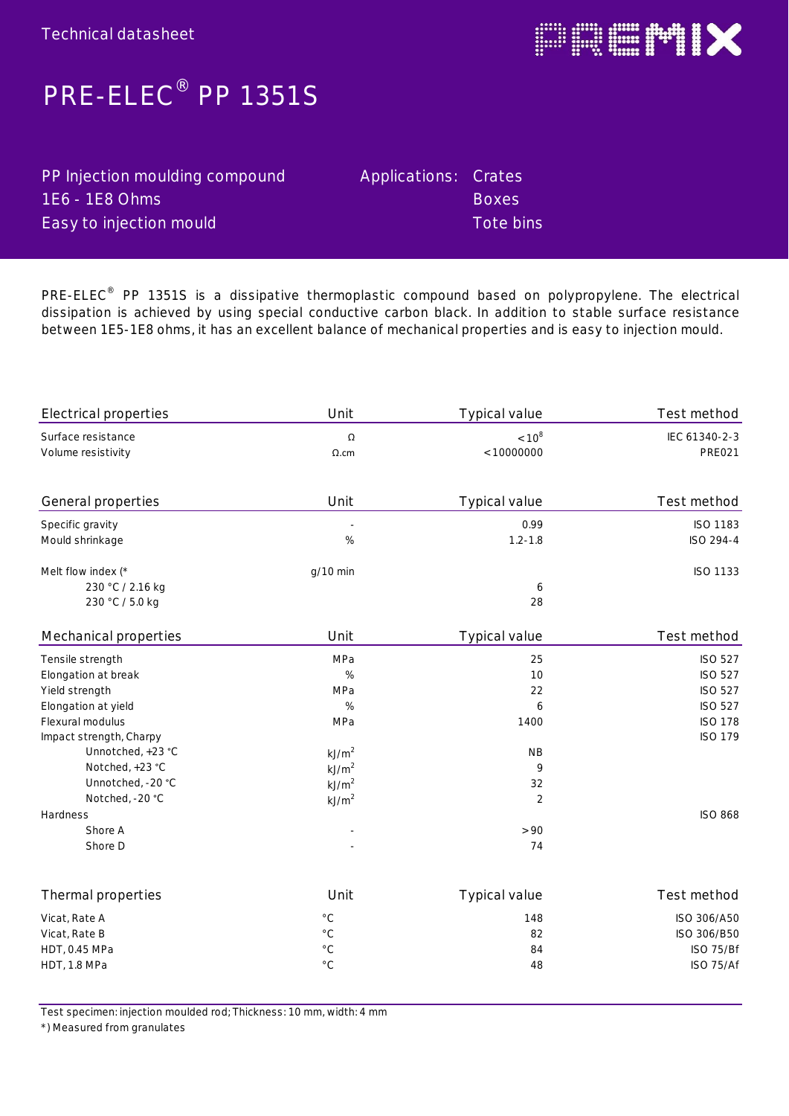

## **PRE-ELEC® PP 1351S**

| PP Injection moulding compound | Applications: Crates |              |
|--------------------------------|----------------------|--------------|
| $1E6 - 1E8$ Ohms               |                      | <b>Boxes</b> |
| Easy to injection mould        |                      | Tote bins    |

**PRE-ELEC® PP 1351S is a dissipative thermoplastic compound based on polypropylene. The electrical dissipation is achieved by using special conductive carbon black. In addition to stable surface resistance between 1E5-1E8 ohms, it has an excellent balance of mechanical properties and is easy to injection mould.**

| Test method    | Typical value  | Unit              | <b>Electrical properties</b> |
|----------------|----------------|-------------------|------------------------------|
| IEC 61340-2-3  | $< 10^8$       | Ω                 | Surface resistance           |
| <b>PRE021</b>  | < 10000000     | $\Omega$ .cm      | Volume resistivity           |
| Test method    | Typical value  | Unit              | General properties           |
| ISO 1183       | 0.99           | $\bar{z}$         | Specific gravity             |
| ISO 294-4      | $1.2 - 1.8$    | $\%$              | Mould shrinkage              |
| ISO 1133       |                | g/10 min          | Melt flow index (*           |
|                | 6              |                   | 230 °C / 2.16 kg             |
|                | 28             |                   | 230 °C / 5.0 kg              |
| Test method    | Typical value  | Unit              | Mechanical properties        |
| <b>ISO 527</b> | 25             | MPa               | Tensile strength             |
| <b>ISO 527</b> | 10             | $\%$              | Elongation at break          |
| <b>ISO 527</b> | 22             | MPa               | Yield strength               |
| <b>ISO 527</b> | 6              | $\%$              | Elongation at yield          |
| <b>ISO 178</b> | 1400           | MPa               | Flexural modulus             |
| <b>ISO 179</b> |                |                   | Impact strength, Charpy      |
|                | <b>NB</b>      | kJ/m <sup>2</sup> | Unnotched, +23 °C            |
|                | 9              | kJ/m <sup>2</sup> | Notched, +23 °C              |
|                | 32             | kJ/m <sup>2</sup> | Unnotched, -20 °C            |
|                | $\overline{2}$ | kJ/m <sup>2</sup> | Notched, -20 °C              |
| <b>ISO 868</b> |                |                   | Hardness                     |
|                | > 90           |                   | Shore A                      |
|                | 74             |                   | Shore D                      |
| Test method    | Typical value  | Unit              | Thermal properties           |
| ISO 306/A50    | 148            | $^{\circ}$ C      | Vicat, Rate A                |
| ISO 306/B50    | 82             | $^{\circ}$ C      | Vicat, Rate B                |
| ISO 75/Bf      | 84             | $^{\circ}$ C      | HDT, 0.45 MPa                |
| ISO 75/Af      | 48             | $^{\circ}$ C      | HDT, 1.8 MPa                 |

Test specimen: injection moulded rod; Thickness: 10 mm, width: 4 mm

\*) Measured from granulates